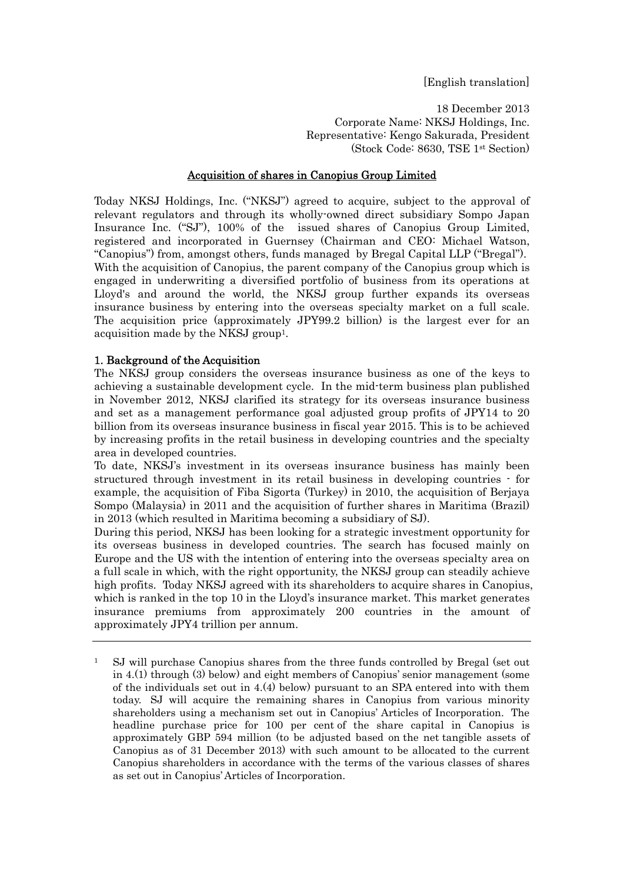[English translation]

18 December 2013 Corporate Name: NKSJ Holdings, Inc. Representative: Kengo Sakurada, President (Stock Code: 8630, TSE 1st Section)

### Acquisition of shares in Canopius Group Limited

Today NKSJ Holdings, Inc. ("NKSJ") agreed to acquire, subject to the approval of relevant regulators and through its wholly-owned direct subsidiary Sompo Japan Insurance Inc. ("SJ"), 100% of the issued shares of Canopius Group Limited, registered and incorporated in Guernsey (Chairman and CEO: Michael Watson, "Canopius") from, amongst others, funds managed by Bregal Capital LLP ("Bregal"). With the acquisition of Canopius, the parent company of the Canopius group which is engaged in underwriting a diversified portfolio of business from its operations at Lloyd's and around the world, the NKSJ group further expands its overseas insurance business by entering into the overseas specialty market on a full scale. The acquisition price (approximately JPY99.2 billion) is the largest ever for an acquisition made by the NKSJ group1.

### 1. Background of the Acquisition

The NKSJ group considers the overseas insurance business as one of the keys to achieving a sustainable development cycle. In the mid-term business plan published in November 2012, NKSJ clarified its strategy for its overseas insurance business and set as a management performance goal adjusted group profits of JPY14 to 20 billion from its overseas insurance business in fiscal year 2015. This is to be achieved by increasing profits in the retail business in developing countries and the specialty area in developed countries.

To date, NKSJ's investment in its overseas insurance business has mainly been structured through investment in its retail business in developing countries - for example, the acquisition of Fiba Sigorta (Turkey) in 2010, the acquisition of Berjaya Sompo (Malaysia) in 2011 and the acquisition of further shares in Maritima (Brazil) in 2013 (which resulted in Maritima becoming a subsidiary of SJ).

During this period, NKSJ has been looking for a strategic investment opportunity for its overseas business in developed countries. The search has focused mainly on Europe and the US with the intention of entering into the overseas specialty area on a full scale in which, with the right opportunity, the NKSJ group can steadily achieve high profits. Today NKSJ agreed with its shareholders to acquire shares in Canopius, which is ranked in the top 10 in the Lloyd's insurance market. This market generates insurance premiums from approximately 200 countries in the amount of approximately JPY4 trillion per annum.

<sup>1</sup> SJ will purchase Canopius shares from the three funds controlled by Bregal (set out in 4.(1) through (3) below) and eight members of Canopius' senior management (some of the individuals set out in 4.(4) below) pursuant to an SPA entered into with them today. SJ will acquire the remaining shares in Canopius from various minority shareholders using a mechanism set out in Canopius' Articles of Incorporation. The headline purchase price for 100 per cent of the share capital in Canopius is approximately GBP 594 million (to be adjusted based on the net tangible assets of Canopius as of 31 December 2013) with such amount to be allocated to the current Canopius shareholders in accordance with the terms of the various classes of shares as set out in Canopius' Articles of Incorporation.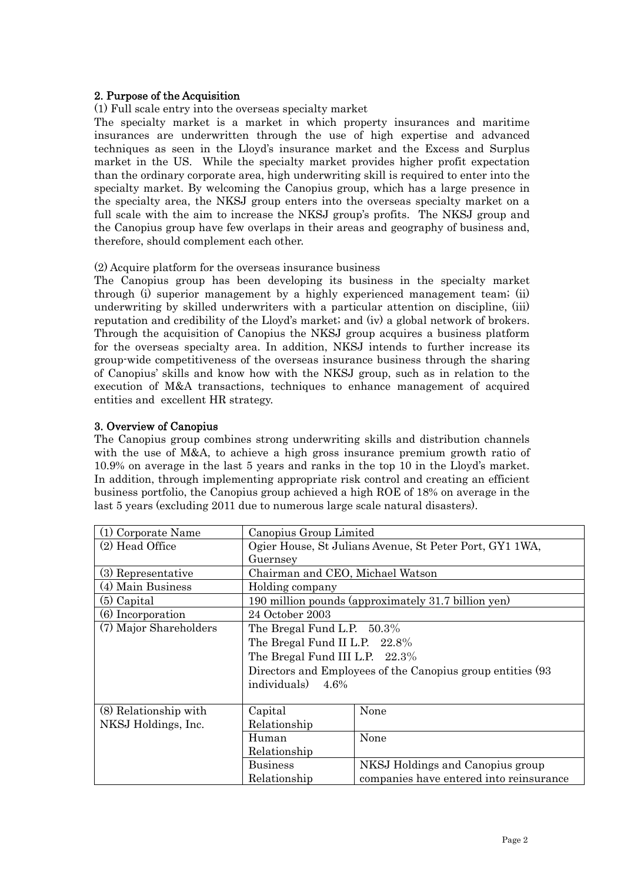## 2. Purpose of the Acquisition

### (1) Full scale entry into the overseas specialty market

The specialty market is a market in which property insurances and maritime insurances are underwritten through the use of high expertise and advanced techniques as seen in the Lloyd's insurance market and the Excess and Surplus market in the US. While the specialty market provides higher profit expectation than the ordinary corporate area, high underwriting skill is required to enter into the specialty market. By welcoming the Canopius group, which has a large presence in the specialty area, the NKSJ group enters into the overseas specialty market on a full scale with the aim to increase the NKSJ group's profits. The NKSJ group and the Canopius group have few overlaps in their areas and geography of business and, therefore, should complement each other.

### (2) Acquire platform for the overseas insurance business

The Canopius group has been developing its business in the specialty market through (i) superior management by a highly experienced management team; (ii) underwriting by skilled underwriters with a particular attention on discipline, (iii) reputation and credibility of the Lloyd's market; and (iv) a global network of brokers. Through the acquisition of Canopius the NKSJ group acquires a business platform for the overseas specialty area. In addition, NKSJ intends to further increase its group-wide competitiveness of the overseas insurance business through the sharing of Canopius' skills and know how with the NKSJ group, such as in relation to the execution of M&A transactions, techniques to enhance management of acquired entities and excellent HR strategy.

### 3. Overview of Canopius

The Canopius group combines strong underwriting skills and distribution channels with the use of M&A, to achieve a high gross insurance premium growth ratio of 10.9% on average in the last 5 years and ranks in the top 10 in the Lloyd's market. In addition, through implementing appropriate risk control and creating an efficient business portfolio, the Canopius group achieved a high ROE of 18% on average in the last 5 years (excluding 2011 due to numerous large scale natural disasters).

| (1) Corporate Name     | Canopius Group Limited                                  |                                                             |
|------------------------|---------------------------------------------------------|-------------------------------------------------------------|
| (2) Head Office        | Ogier House, St Julians Avenue, St Peter Port, GY1 1WA, |                                                             |
|                        | Guernsey                                                |                                                             |
| (3) Representative     | Chairman and CEO, Michael Watson                        |                                                             |
| (4) Main Business      | Holding company                                         |                                                             |
| $(5)$ Capital          |                                                         | 190 million pounds (approximately 31.7 billion yen)         |
| (6) Incorporation      | 24 October 2003                                         |                                                             |
| (7) Major Shareholders | The Bregal Fund L.P. $50.3\%$                           |                                                             |
|                        | The Bregal Fund II L.P. 22.8%                           |                                                             |
|                        | The Bregal Fund III L.P. 22.3%                          |                                                             |
|                        |                                                         | Directors and Employees of the Canopius group entities (93) |
|                        | individuals)<br>4.6%                                    |                                                             |
|                        |                                                         |                                                             |
| (8) Relationship with  | Capital                                                 | None                                                        |
| NKSJ Holdings, Inc.    | Relationship                                            |                                                             |
|                        | Human                                                   | None                                                        |
|                        | Relationship                                            |                                                             |
|                        | <b>Business</b>                                         | NKSJ Holdings and Canopius group                            |
|                        | Relationship                                            | companies have entered into reinsurance                     |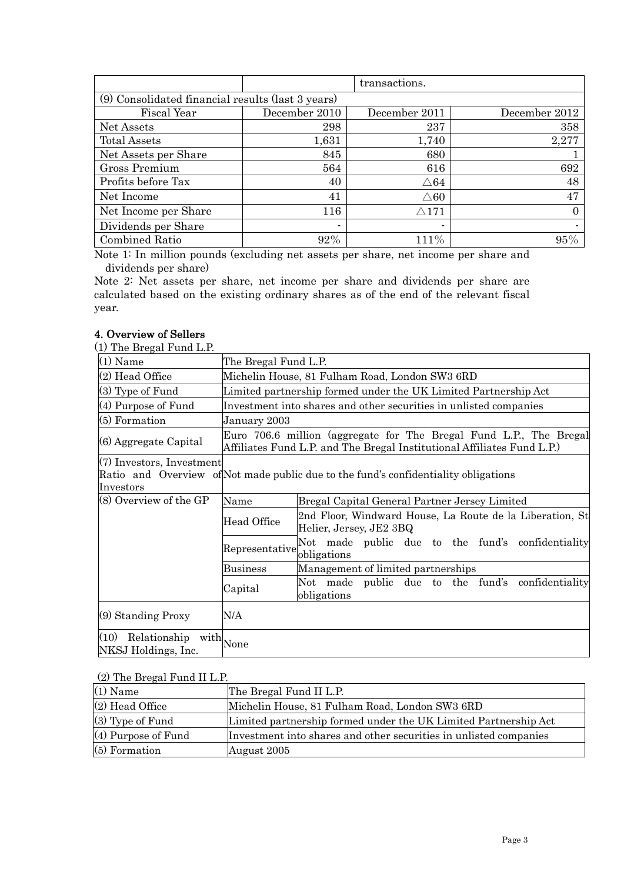|                                                   |               | transactions.        |               |
|---------------------------------------------------|---------------|----------------------|---------------|
| (9) Consolidated financial results (last 3 years) |               |                      |               |
| Fiscal Year                                       | December 2010 | December 2011        | December 2012 |
| Net Assets                                        | 298           | 237                  | 358           |
| <b>Total Assets</b>                               | 1,631         | 1,740                | 2,277         |
| Net Assets per Share                              | 845           | 680                  |               |
| Gross Premium                                     | 564           | 616                  | 692           |
| Profits before Tax                                | 40            | $\triangle 64$       | 48            |
| Net Income                                        | 41            | $\triangle 60$       | 47            |
| Net Income per Share                              | 116           | $\bigtriangleup 171$ | 0             |
| Dividends per Share                               |               | $\blacksquare$       |               |
| Combined Ratio                                    | 92%           | 111%                 | 95%           |

Note 1: In million pounds (excluding net assets per share, net income per share and dividends per share)

Note 2: Net assets per share, net income per share and dividends per share are calculated based on the existing ordinary shares as of the end of the relevant fiscal year.

# 4. Overview of Sellers

(1) The Bregal Fund L.P.

| $(1)$ Name                                                      | The Bregal Fund L.P.                                                                                                                          |                                                                                     |  |
|-----------------------------------------------------------------|-----------------------------------------------------------------------------------------------------------------------------------------------|-------------------------------------------------------------------------------------|--|
| (2) Head Office                                                 | Michelin House, 81 Fulham Road, London SW3 6RD                                                                                                |                                                                                     |  |
| (3) Type of Fund                                                | Limited partnership formed under the UK Limited Partnership Act                                                                               |                                                                                     |  |
| $(4)$ Purpose of Fund                                           | Investment into shares and other securities in unlisted companies                                                                             |                                                                                     |  |
| $(5)$ Formation                                                 | January 2003                                                                                                                                  |                                                                                     |  |
| (6) Aggregate Capital                                           | Euro 706.6 million (aggregate for The Bregal Fund L.P., The Bregal<br>Affiliates Fund L.P. and The Bregal Institutional Affiliates Fund L.P.) |                                                                                     |  |
| $(7)$ Investors, Investment<br>Investors                        |                                                                                                                                               | Ratio and Overview of Not made public due to the fund's confidentiality obligations |  |
| (8) Overview of the GP                                          | Name                                                                                                                                          | Bregal Capital General Partner Jersey Limited                                       |  |
|                                                                 | <b>Head Office</b>                                                                                                                            | 2nd Floor, Windward House, La Route de la Liberation, St<br>Helier, Jersey, JE2 3BQ |  |
|                                                                 | Representative                                                                                                                                | Not made public due to the fund's<br>confidentiality<br>obligations                 |  |
|                                                                 | <b>Business</b>                                                                                                                               | Management of limited partnerships                                                  |  |
|                                                                 | Capital                                                                                                                                       | Not made public due to the fund's confidentiality<br>obligations                    |  |
| $(9)$ Standing Proxy                                            | N/A                                                                                                                                           |                                                                                     |  |
| $\overline{(10)}$ Relationship with None<br>NKSJ Holdings, Inc. |                                                                                                                                               |                                                                                     |  |

### (2) The Bregal Fund II L.P.

| $(1)$ Name            | The Bregal Fund II L.P.                                           |
|-----------------------|-------------------------------------------------------------------|
| $(2)$ Head Office     | Michelin House, 81 Fulham Road, London SW3 6RD                    |
| $(3)$ Type of Fund    | Limited partnership formed under the UK Limited Partnership Act   |
| $(4)$ Purpose of Fund | Investment into shares and other securities in unlisted companies |
| $(5)$ Formation       | August 2005                                                       |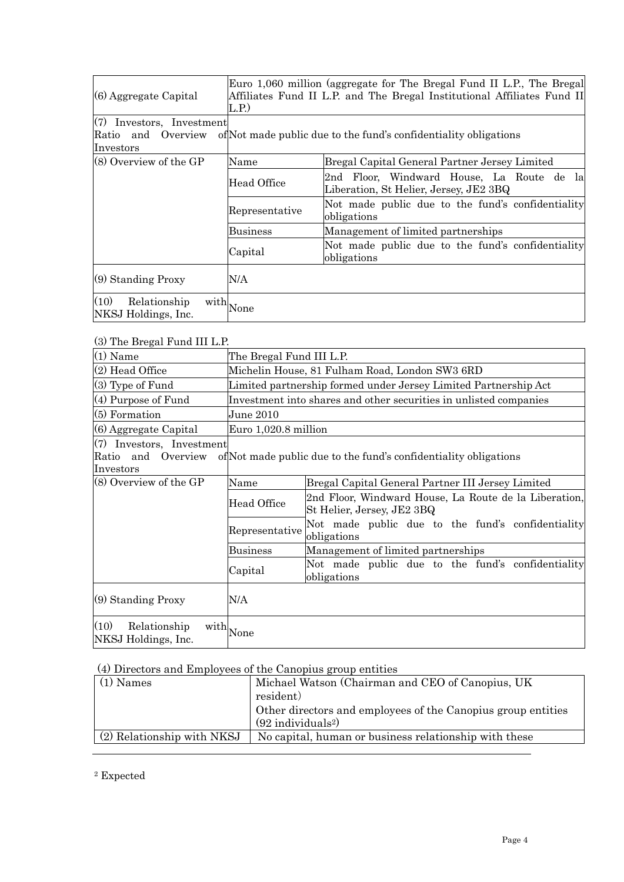| $(6)$ Aggregate Capital                                           | Euro 1,060 million (aggregate for The Bregal Fund II L.P., The Bregal<br>Affiliates Fund II L.P. and The Bregal Institutional Affiliates Fund II<br>L.P. |                                                                                     |
|-------------------------------------------------------------------|----------------------------------------------------------------------------------------------------------------------------------------------------------|-------------------------------------------------------------------------------------|
| $(7)$ Investors, Investment<br>Ratio<br>and Overview<br>Investors |                                                                                                                                                          | of Not made public due to the fund's confidentiality obligations                    |
| $(8)$ Overview of the GP                                          | Name                                                                                                                                                     | Bregal Capital General Partner Jersey Limited                                       |
|                                                                   | Head Office                                                                                                                                              | 2nd Floor, Windward House, La Route de la<br>Liberation, St Helier, Jersey, JE2 3BQ |
|                                                                   | Representative                                                                                                                                           | Not made public due to the fund's confidentiality<br>obligations                    |
|                                                                   | <b>Business</b>                                                                                                                                          | Management of limited partnerships                                                  |
|                                                                   | Capital                                                                                                                                                  | Not made public due to the fund's confidentiality<br>obligations                    |
| (9) Standing Proxy                                                | N/A                                                                                                                                                      |                                                                                     |
| (10)<br>Relationship<br>NKSJ Holdings, Inc.                       | $\text{with}  _{\text{None}}$                                                                                                                            |                                                                                     |

# (3) The Bregal Fund III L.P.

| $\omega$ ine biegal rund in E.I.                             |                                                |                                                                                     |  |  |
|--------------------------------------------------------------|------------------------------------------------|-------------------------------------------------------------------------------------|--|--|
| $(1)$ Name                                                   | The Bregal Fund III L.P.                       |                                                                                     |  |  |
| (2) Head Office                                              | Michelin House, 81 Fulham Road, London SW3 6RD |                                                                                     |  |  |
| $(3)$ Type of Fund                                           |                                                | Limited partnership formed under Jersey Limited Partnership Act                     |  |  |
| (4) Purpose of Fund                                          |                                                | Investment into shares and other securities in unlisted companies                   |  |  |
| $(5)$ Formation                                              | June 2010                                      |                                                                                     |  |  |
| (6) Aggregate Capital                                        |                                                | Euro 1,020.8 million                                                                |  |  |
| (7) Investors, Investment<br>Ratio and Overview<br>Investors |                                                | of Not made public due to the fund's confidentiality obligations                    |  |  |
| (8) Overview of the GP                                       | Name                                           | Bregal Capital General Partner III Jersey Limited                                   |  |  |
|                                                              | Head Office                                    | 2nd Floor, Windward House, La Route de la Liberation,<br>St Helier, Jersey, JE2 3BQ |  |  |
|                                                              | Representative                                 | Not made public due to the fund's confidentiality<br>obligations                    |  |  |
|                                                              | <b>Business</b>                                | Management of limited partnerships                                                  |  |  |
|                                                              | Capital                                        | Not made public due to the fund's confidentiality<br>obligations                    |  |  |
| (9) Standing Proxy                                           | N/A                                            |                                                                                     |  |  |
| (10)<br>Relationship<br>NKSJ Holdings, Inc.                  | $\text{with} _{ \text{None} }$                 |                                                                                     |  |  |

### (4) Directors and Employees of the Canopius group entities

| $(1)$ Names                | Michael Watson (Chairman and CEO of Canopius, UK             |
|----------------------------|--------------------------------------------------------------|
|                            | resident)                                                    |
|                            | Other directors and employees of the Canopius group entities |
|                            | $(92$ individuals <sup>2</sup> )                             |
| (2) Relationship with NKSJ | No capital, human or business relationship with these        |
|                            |                                                              |

2 Expected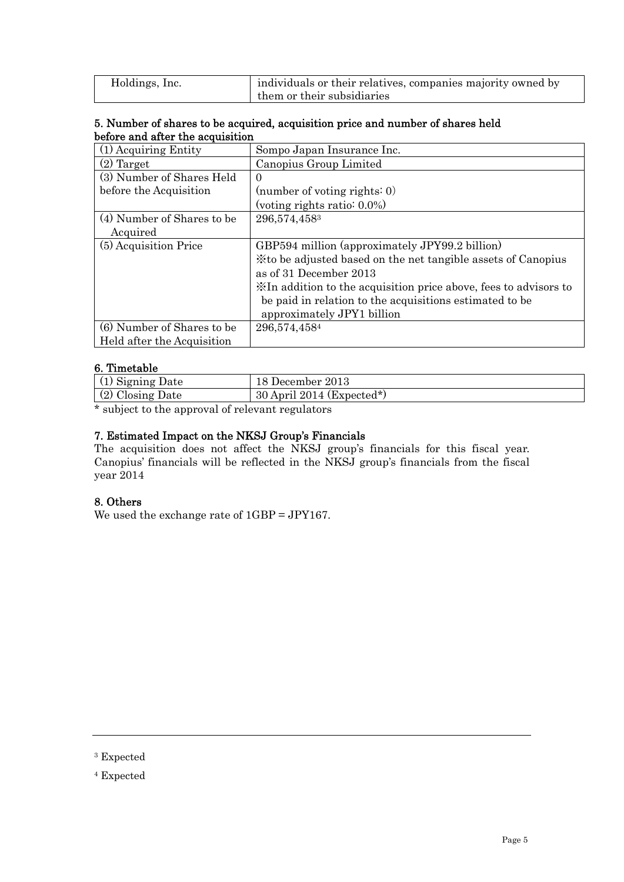| Holdings, Inc. | individuals or their relatives, companies majority owned by |
|----------------|-------------------------------------------------------------|
|                | them or their subsidiaries                                  |

### 5. Number of shares to be acquired, acquisition price and number of shares held before and after the acquisition

| $(1)$ Acquiring Entity     | Sompo Japan Insurance Inc.                                       |
|----------------------------|------------------------------------------------------------------|
| $(2)$ Target               | Canopius Group Limited                                           |
| (3) Number of Shares Held  | $\Omega$                                                         |
| before the Acquisition     | (number of voting rights: $0$ )                                  |
|                            | (voting rights ratio: $0.0\%$ )                                  |
| (4) Number of Shares to be | 296,574,4583                                                     |
| Acquired                   |                                                                  |
| (5) Acquisition Price      | GBP594 million (approximately JPY99.2 billion)                   |
|                            | X to be adjusted based on the net tangible assets of Canopius    |
|                            | as of 31 December 2013                                           |
|                            | XIn addition to the acquisition price above, fees to advisors to |
|                            | be paid in relation to the acquisitions estimated to be          |
|                            | approximately JPY1 billion                                       |
| (6) Number of Shares to be | 296,574,4584                                                     |
| Held after the Acquisition |                                                                  |

## 6. Timetable

| ' Signing Date   | December 2013               |
|------------------|-----------------------------|
| (2) Closing Date | $30$ April 2014 (Expected*) |

\* subject to the approval of relevant regulators

# 7. Estimated Impact on the NKSJ Group's Financials

The acquisition does not affect the NKSJ group's financials for this fiscal year. Canopius' financials will be reflected in the NKSJ group's financials from the fiscal year 2014

### 8. Others

We used the exchange rate of 1GBP = JPY167.

<sup>3</sup> Expected

<sup>4</sup> Expected